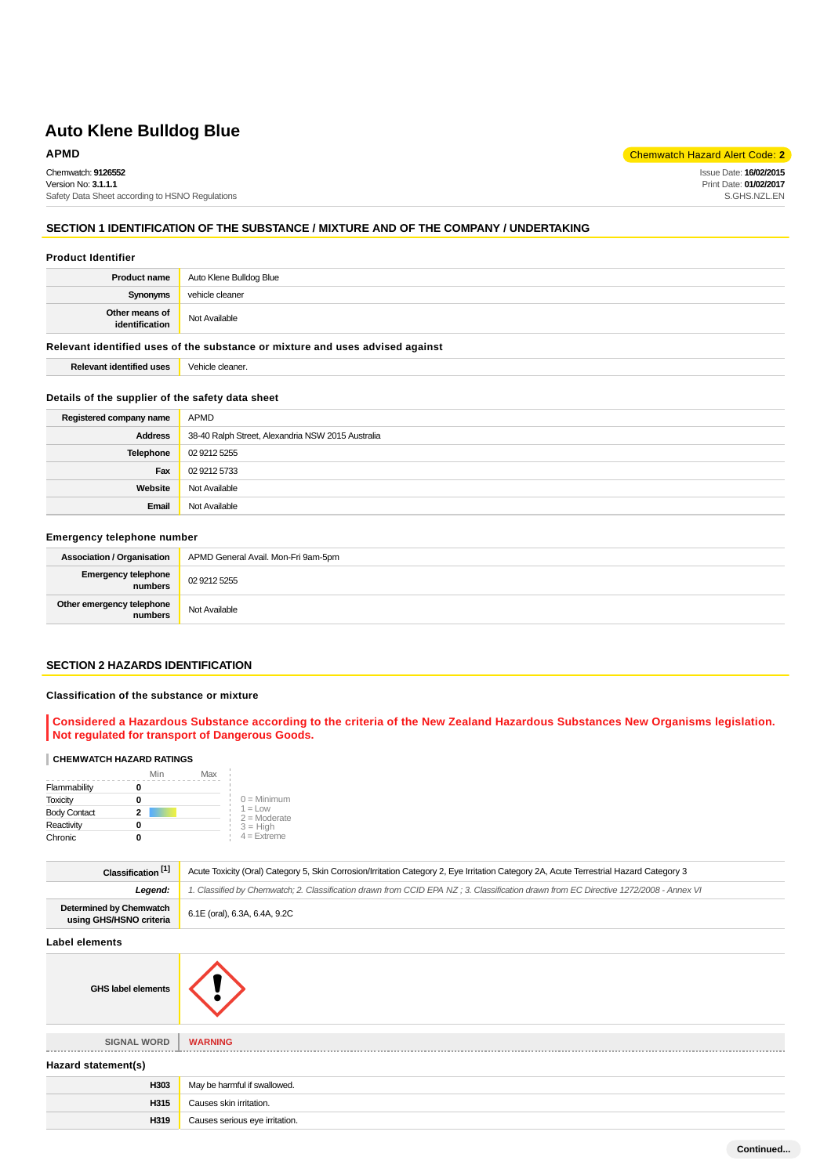### **APMD** Chemwatch Hazard Alert Code: **2**

Issue Date: **16/02/2015** Print Date: **01/02/2017** S.GHS.NZL.EN

Chemwatch: **9126552** Version No: **3.1.1.1** Safety Data Sheet according to HSNO Regulations

## **SECTION 1 IDENTIFICATION OF THE SUBSTANCE / MIXTURE AND OF THE COMPANY / UNDERTAKING**

#### **Product Identifier**

| <b>Product name</b>              | Auto Klene Bulldog Blue |
|----------------------------------|-------------------------|
| Synonyms                         | vehicle cleaner         |
| Other means of<br>identification | Not Available           |

#### **Relevant identified uses of the substance or mixture and uses advised against**

**Relevant identified uses** Vehicle cleaner.

#### **Details of the supplier of the safety data sheet**

| Registered company name | APMD                                              |
|-------------------------|---------------------------------------------------|
| <b>Address</b>          | 38-40 Ralph Street, Alexandria NSW 2015 Australia |
| Telephone               | 02 9212 5255                                      |
| Fax                     | 02 9212 5733                                      |
| Website                 | Not Available                                     |
| Email                   | Not Available                                     |

### **Emergency telephone number**

| <b>Association / Organisation</b>    | APMD General Avail. Mon-Fri 9am-5pm |
|--------------------------------------|-------------------------------------|
| Emergency telephone<br>numbers       | 02 9212 5255                        |
| Other emergency telephone<br>numbers | Not Available                       |

#### **SECTION 2 HAZARDS IDENTIFICATION**

#### **Classification of the substance or mixture**

**Considered a Hazardous Substance according to the criteria of the New Zealand Hazardous Substances New Organisms legislation. Not regulated for transport of Dangerous Goods.**

#### **CHEMWATCH HAZARD RATINGS**

|                     | Min | Max |                             |
|---------------------|-----|-----|-----------------------------|
| Flammability        |     |     |                             |
| <b>Toxicity</b>     | 0   |     | $0 =$ Minimum               |
| <b>Body Contact</b> | 2   |     | $1 = Low$<br>$2 =$ Moderate |
| Reactivity          | o   |     | $3 = High$                  |
| Chronic             |     |     | $4 =$ Extreme               |

| Classification <sup>[1]</sup>                      | Acute Toxicity (Oral) Category 5, Skin Corrosion/Irritation Category 2, Eye Irritation Category 2A, Acute Terrestrial Hazard Category 3 |
|----------------------------------------------------|-----------------------------------------------------------------------------------------------------------------------------------------|
| Legend:                                            | 1. Classified by Chemwatch; 2. Classification drawn from CCID EPA NZ; 3. Classification drawn from EC Directive 1272/2008 - Annex VI    |
| Determined by Chemwatch<br>using GHS/HSNO criteria | 6.1E (oral), 6.3A, 6.4A, 9.2C                                                                                                           |
|                                                    |                                                                                                                                         |

#### **Label elements**

| <b>GHS label elements</b> |  |
|---------------------------|--|
|---------------------------|--|



| <b>SIGNAL WORD</b>  | <b>WARNING</b> |
|---------------------|----------------|
|                     |                |
| Hazard statement(s) |                |

| <b>HULUI U SHINTING ING I</b> |                                |  |
|-------------------------------|--------------------------------|--|
| H303                          | May be harmful if swallowed.   |  |
| H315                          | Causes skin irritation.        |  |
| H319                          | Causes serious eye irritation. |  |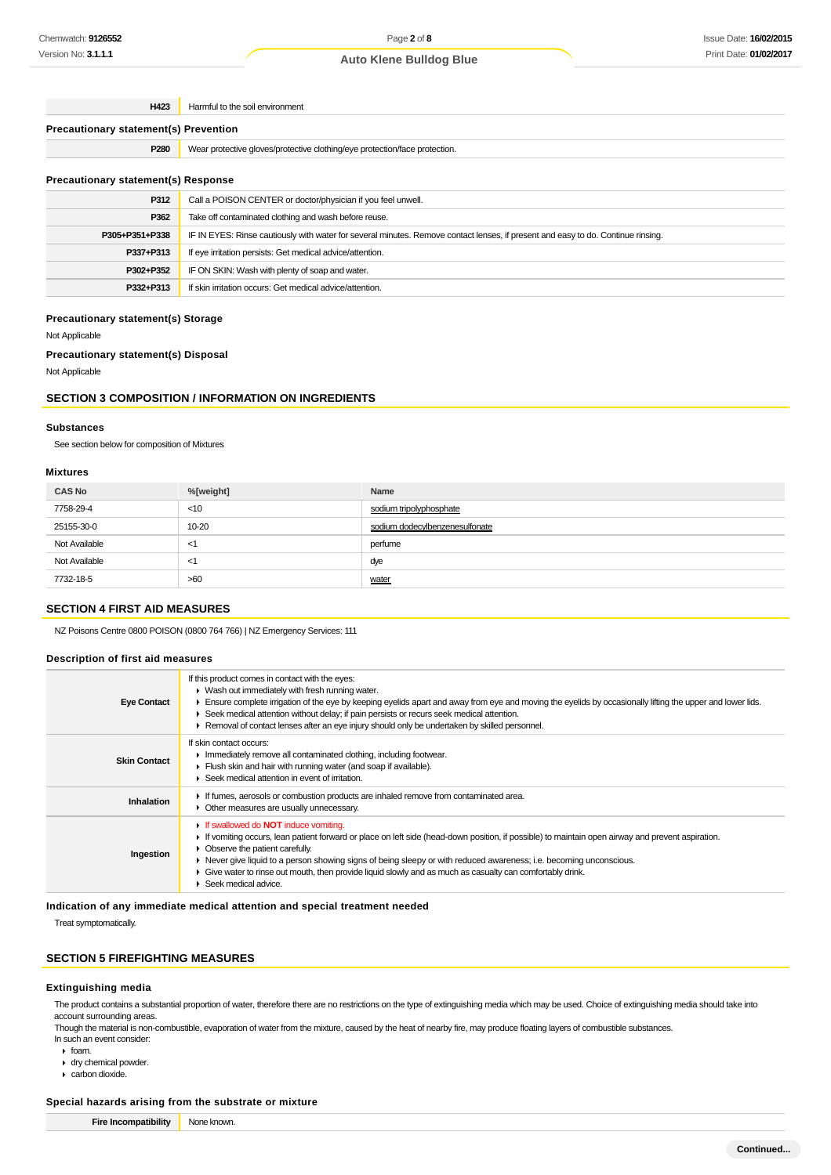| H423                                       | Harmful to the soil environment                                                                                                  |  |
|--------------------------------------------|----------------------------------------------------------------------------------------------------------------------------------|--|
|                                            | <b>Precautionary statement(s) Prevention</b>                                                                                     |  |
| P <sub>280</sub>                           | Wear protective gloves/protective clothing/eye protection/face protection.                                                       |  |
| <b>Precautionary statement(s) Response</b> |                                                                                                                                  |  |
| P312                                       | Call a POISON CENTER or doctor/physician if you feel unwell.                                                                     |  |
| P362                                       | Take off contaminated clothing and wash before reuse.                                                                            |  |
| P305+P351+P338                             | IF IN EYES: Rinse cautiously with water for several minutes. Remove contact lenses, if present and easy to do. Continue rinsing. |  |
| P337+P313                                  | If eye irritation persists: Get medical advice/attention.                                                                        |  |
| P302+P352                                  | IF ON SKIN: Wash with plenty of soap and water.                                                                                  |  |
| P332+P313                                  | If skin irritation occurs: Get medical advice/attention.                                                                         |  |

#### **Precautionary statement(s) Storage**

Not Applicable

#### **Precautionary statement(s) Disposal**

Not Applicable

### **SECTION 3 COMPOSITION / INFORMATION ON INGREDIENTS**

#### **Substances**

See section below for composition of Mixtures

#### **Mixtures**

| <b>CAS No</b> | %[weight] | Name                           |
|---------------|-----------|--------------------------------|
| 7758-29-4     | $<$ 10    | sodium tripolyphosphate        |
| 25155-30-0    | 10-20     | sodium dodecylbenzenesulfonate |
| Not Available | $\leq$    | perfume                        |
| Not Available | $<$ 1     | dye                            |
| 7732-18-5     | >60       | water                          |

## **SECTION 4 FIRST AID MEASURES**

NZ Poisons Centre 0800 POISON (0800 764 766) | NZ Emergency Services: 111

#### **Description of first aid measures**

| <b>Eye Contact</b>  | If this product comes in contact with the eyes:<br>▶ Wash out immediately with fresh running water.<br>Ensure complete irrigation of the eye by keeping eyelids apart and away from eye and moving the eyelids by occasionally lifting the upper and lower lids.<br>▶ Seek medical attention without delay; if pain persists or recurs seek medical attention.<br>Removal of contact lenses after an eye injury should only be undertaken by skilled personnel.                                                 |
|---------------------|-----------------------------------------------------------------------------------------------------------------------------------------------------------------------------------------------------------------------------------------------------------------------------------------------------------------------------------------------------------------------------------------------------------------------------------------------------------------------------------------------------------------|
| <b>Skin Contact</b> | If skin contact occurs:<br>In mediately remove all contaminated clothing, including footwear.<br>Flush skin and hair with running water (and soap if available).<br>▶ Seek medical attention in event of irritation.                                                                                                                                                                                                                                                                                            |
| Inhalation          | If fumes, aerosols or combustion products are inhaled remove from contaminated area.<br>• Other measures are usually unnecessary.                                                                                                                                                                                                                                                                                                                                                                               |
| Ingestion           | <b>If swallowed do NOT induce vomiting.</b><br>If vomiting occurs, lean patient forward or place on left side (head-down position, if possible) to maintain open airway and prevent aspiration.<br>$\triangleright$ Observe the patient carefully.<br>• Never give liquid to a person showing signs of being sleepy or with reduced awareness; i.e. becoming unconscious.<br>• Give water to rinse out mouth, then provide liquid slowly and as much as casualty can comfortably drink.<br>Seek medical advice. |

**Indication of any immediate medical attention and special treatment needed**

Treat symptomatically.

### **SECTION 5 FIREFIGHTING MEASURES**

#### **Extinguishing media**

The product contains a substantial proportion of water, therefore there are no restrictions on the type of extinguishing media which may be used. Choice of extinguishing media should take into account surrounding areas.

Though the material is non-combustible, evaporation of water from the mixture, caused by the heat of nearby fire, may produce floating layers of combustible substances. In such an event consider:

- 
- foam.
- dry chemical powder.
- carbon dioxide.

#### **Special hazards arising from the substrate or mixture**

**Fire Incompatibility** None known.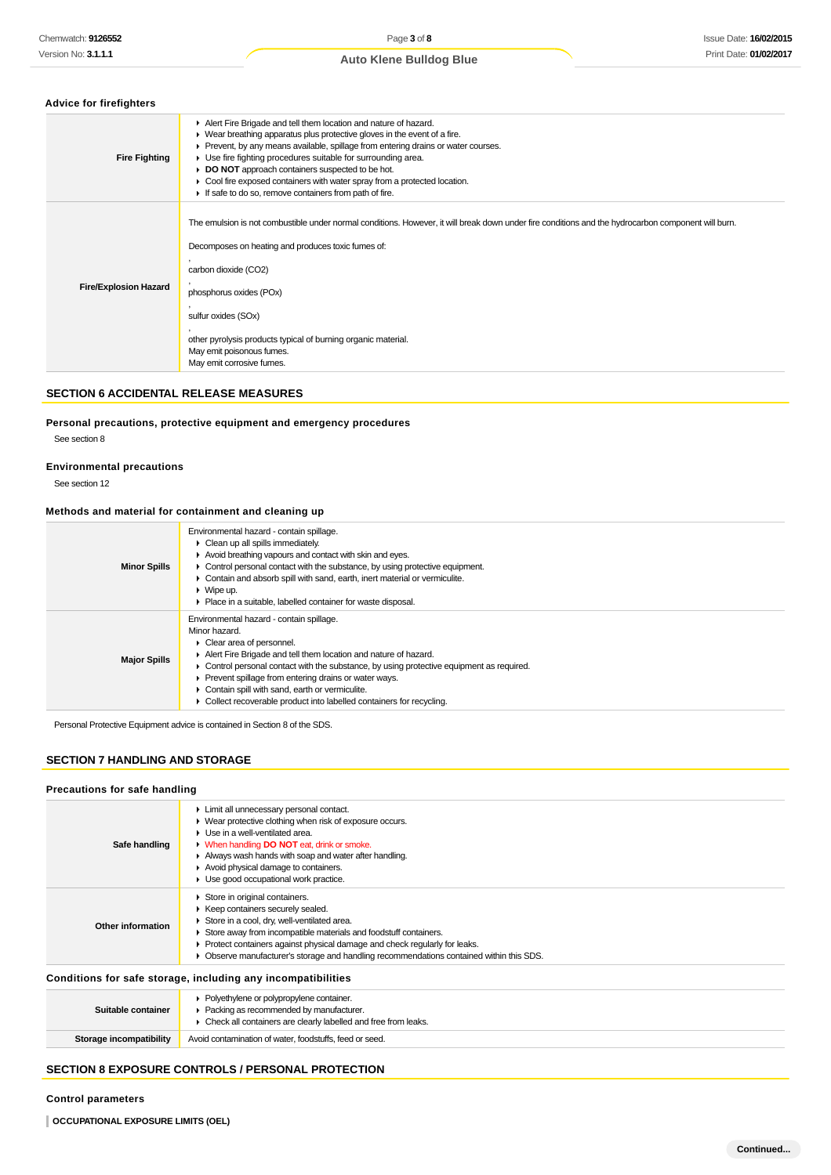### **Advice for firefighters**

| <b>Fire Fighting</b>         | Alert Fire Brigade and tell them location and nature of hazard.<br>• Wear breathing apparatus plus protective gloves in the event of a fire.<br>Prevent, by any means available, spillage from entering drains or water courses.<br>▶ Use fire fighting procedures suitable for surrounding area.<br>DO NOT approach containers suspected to be hot.<br>Cool fire exposed containers with water spray from a protected location.<br>If safe to do so, remove containers from path of fire. |
|------------------------------|--------------------------------------------------------------------------------------------------------------------------------------------------------------------------------------------------------------------------------------------------------------------------------------------------------------------------------------------------------------------------------------------------------------------------------------------------------------------------------------------|
| <b>Fire/Explosion Hazard</b> | The emulsion is not combustible under normal conditions. However, it will break down under fire conditions and the hydrocarbon component will burn.<br>Decomposes on heating and produces toxic fumes of:<br>carbon dioxide (CO2)<br>phosphorus oxides (POx)<br>sulfur oxides (SOx)<br>other pyrolysis products typical of burning organic material.<br>May emit poisonous fumes.<br>May emit corrosive fumes.                                                                             |

## **SECTION 6 ACCIDENTAL RELEASE MEASURES**

#### **Personal precautions, protective equipment and emergency procedures**

See section 8

### **Environmental precautions**

See section 12

### **Methods and material for containment and cleaning up**

| <b>Minor Spills</b> | Environmental hazard - contain spillage.<br>$\triangleright$ Clean up all spills immediately.<br>Avoid breathing vapours and contact with skin and eyes.<br>$\triangleright$ Control personal contact with the substance, by using protective equipment.<br>• Contain and absorb spill with sand, earth, inert material or vermiculite.<br>$\blacktriangleright$ Wipe up.<br>• Place in a suitable, labelled container for waste disposal.                             |
|---------------------|------------------------------------------------------------------------------------------------------------------------------------------------------------------------------------------------------------------------------------------------------------------------------------------------------------------------------------------------------------------------------------------------------------------------------------------------------------------------|
| <b>Major Spills</b> | Environmental hazard - contain spillage.<br>Minor hazard.<br>$\triangleright$ Clear area of personnel.<br>Alert Fire Brigade and tell them location and nature of hazard.<br>$\triangleright$ Control personal contact with the substance, by using protective equipment as required.<br>Prevent spillage from entering drains or water ways.<br>Contain spill with sand, earth or vermiculite.<br>Collect recoverable product into labelled containers for recycling. |

Personal Protective Equipment advice is contained in Section 8 of the SDS.

## **SECTION 7 HANDLING AND STORAGE**

## **Precautions for safe handling**

| Safe handling     | Limit all unnecessary personal contact.<br>• Wear protective clothing when risk of exposure occurs.<br>$\blacktriangleright$ Use in a well-ventilated area.<br><b>No. When handling DO NOT eat, drink or smoke.</b><br>Always wash hands with soap and water after handling.<br>Avoid physical damage to containers.<br>$\blacktriangleright$ Use good occupational work practice. |
|-------------------|------------------------------------------------------------------------------------------------------------------------------------------------------------------------------------------------------------------------------------------------------------------------------------------------------------------------------------------------------------------------------------|
| Other information | Store in original containers.<br>▶ Keep containers securely sealed.<br>Store in a cool, dry, well-ventilated area.<br>Store away from incompatible materials and foodstuff containers.<br>Protect containers against physical damage and check regularly for leaks.<br>Observe manufacturer's storage and handling recommendations contained within this SDS.                      |
|                   | Conditions for safe storage, including any incompatibilities                                                                                                                                                                                                                                                                                                                       |

| Suitable container      | • Polyethylene or polypropylene container.<br>Packing as recommended by manufacturer.<br>▶ Check all containers are clearly labelled and free from leaks. |  |
|-------------------------|-----------------------------------------------------------------------------------------------------------------------------------------------------------|--|
| Storage incompatibility | Avoid contamination of water, foodstuffs, feed or seed.                                                                                                   |  |

# **SECTION 8 EXPOSURE CONTROLS / PERSONAL PROTECTION**

## **Control parameters**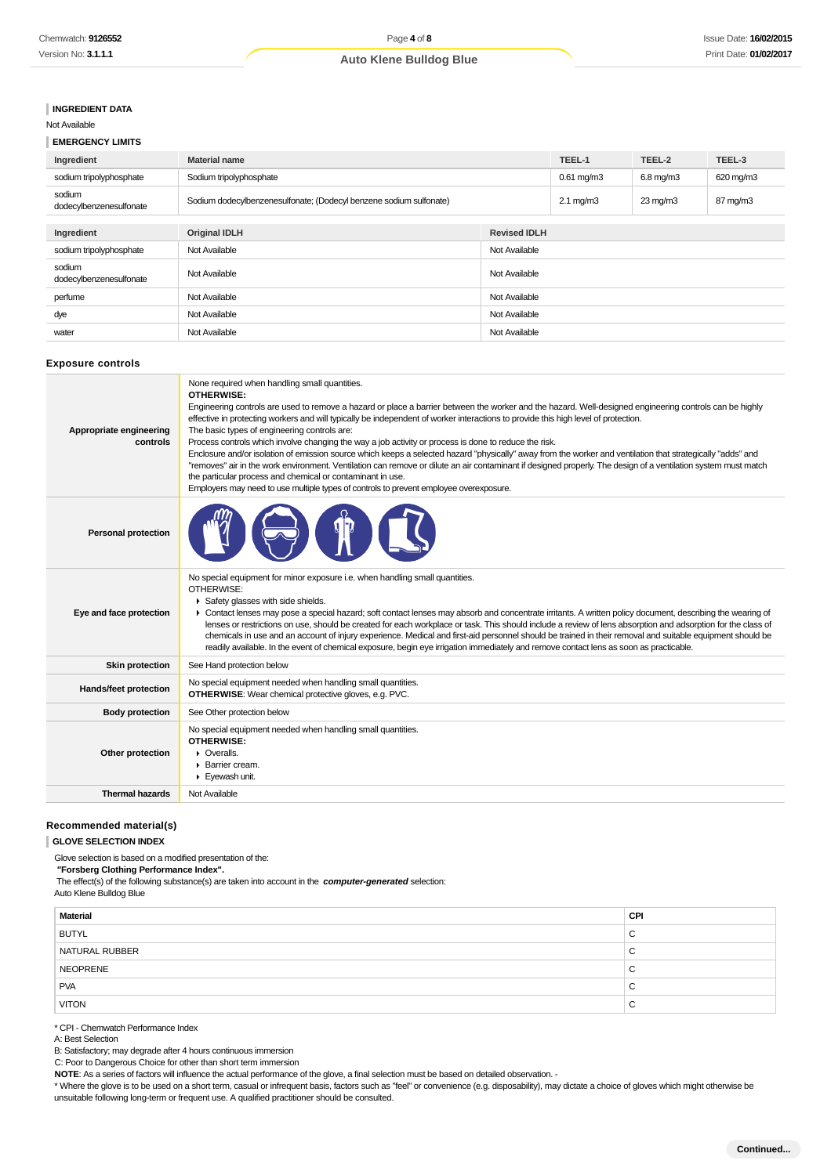## **INGREDIENT DATA**

## Not Available

# **EMERGENCY LIMITS**

| Ingredient                        | <b>Material name</b>                                               |  | TEEL-1             | TEEL-2            | TEEL-3    |
|-----------------------------------|--------------------------------------------------------------------|--|--------------------|-------------------|-----------|
| sodium tripolyphosphate           | Sodium tripolyphosphate                                            |  | $0.61$ mg/m $3$    | $6.8$ mg/m $3$    | 620 mg/m3 |
| sodium<br>dodecylbenzenesulfonate | Sodium dodecylbenzenesulfonate; (Dodecyl benzene sodium sulfonate) |  | $2.1 \text{ mg/m}$ | $23 \text{ mg/m}$ | 87 mg/m3  |
|                                   |                                                                    |  |                    |                   |           |
| Ingredient                        | <b>Original IDLH</b><br><b>Revised IDLH</b>                        |  |                    |                   |           |
| sodium tripolyphosphate           | Not Available<br>Not Available                                     |  |                    |                   |           |
| sodium<br>dodecylbenzenesulfonate | Not Available<br>Not Available                                     |  |                    |                   |           |
| perfume                           | Not Available<br>Not Available                                     |  |                    |                   |           |
| dye                               | Not Available<br>Not Available                                     |  |                    |                   |           |
| water                             | Not Available<br>Not Available                                     |  |                    |                   |           |

#### **Exposure controls**

| Appropriate engineering<br>controls | None required when handling small quantities.<br>OTHERWISE:<br>Engineering controls are used to remove a hazard or place a barrier between the worker and the hazard. Well-designed engineering controls can be highly<br>effective in protecting workers and will typically be independent of worker interactions to provide this high level of protection.<br>The basic types of engineering controls are:<br>Process controls which involve changing the way a job activity or process is done to reduce the risk.<br>Enclosure and/or isolation of emission source which keeps a selected hazard "physically" away from the worker and ventilation that strategically "adds" and<br>"removes" air in the work environment. Ventilation can remove or dilute an air contaminant if designed properly. The design of a ventilation system must match<br>the particular process and chemical or contaminant in use.<br>Employers may need to use multiple types of controls to prevent employee overexposure. |
|-------------------------------------|----------------------------------------------------------------------------------------------------------------------------------------------------------------------------------------------------------------------------------------------------------------------------------------------------------------------------------------------------------------------------------------------------------------------------------------------------------------------------------------------------------------------------------------------------------------------------------------------------------------------------------------------------------------------------------------------------------------------------------------------------------------------------------------------------------------------------------------------------------------------------------------------------------------------------------------------------------------------------------------------------------------|
| <b>Personal protection</b>          |                                                                                                                                                                                                                                                                                                                                                                                                                                                                                                                                                                                                                                                                                                                                                                                                                                                                                                                                                                                                                |
| Eye and face protection             | No special equipment for minor exposure i.e. when handling small quantities.<br>OTHERWISE:<br>Safety glasses with side shields.<br>• Contact lenses may pose a special hazard; soft contact lenses may absorb and concentrate irritants. A written policy document, describing the wearing of<br>lenses or restrictions on use, should be created for each workplace or task. This should include a review of lens absorption and adsorption for the class of<br>chemicals in use and an account of injury experience. Medical and first-aid personnel should be trained in their removal and suitable equipment should be<br>readily available. In the event of chemical exposure, begin eye irrigation immediately and remove contact lens as soon as practicable.                                                                                                                                                                                                                                           |
| <b>Skin protection</b>              | See Hand protection below                                                                                                                                                                                                                                                                                                                                                                                                                                                                                                                                                                                                                                                                                                                                                                                                                                                                                                                                                                                      |
| Hands/feet protection               | No special equipment needed when handling small quantities.<br><b>OTHERWISE:</b> Wear chemical protective gloves, e.g. PVC.                                                                                                                                                                                                                                                                                                                                                                                                                                                                                                                                                                                                                                                                                                                                                                                                                                                                                    |
| <b>Body protection</b>              | See Other protection below                                                                                                                                                                                                                                                                                                                                                                                                                                                                                                                                                                                                                                                                                                                                                                                                                                                                                                                                                                                     |
| Other protection                    | No special equipment needed when handling small quantities.<br><b>OTHERWISE:</b><br>$\triangleright$ Overalls.<br>$\blacktriangleright$ Barrier cream.<br>Eyewash unit.                                                                                                                                                                                                                                                                                                                                                                                                                                                                                                                                                                                                                                                                                                                                                                                                                                        |
| <b>Thermal hazards</b>              | Not Available                                                                                                                                                                                                                                                                                                                                                                                                                                                                                                                                                                                                                                                                                                                                                                                                                                                                                                                                                                                                  |
|                                     |                                                                                                                                                                                                                                                                                                                                                                                                                                                                                                                                                                                                                                                                                                                                                                                                                                                                                                                                                                                                                |

#### **Recommended material(s)**

#### **GLOVE SELECTION INDEX**

Glove selection is based on a modified presentation of the:

 **"Forsberg Clothing Performance Index".**

The effect(s) of the following substance(s) are taken into account in the **computer-generated** selection:

Auto Klene Bulldog Blue

| <b>Material</b> | CPI    |
|-----------------|--------|
| <b>BUTYL</b>    | ~<br>ັ |
| NATURAL RUBBER  | ັ      |
| NEOPRENE        | ັ      |
| <b>PVA</b>      | ◡      |
| <b>VITON</b>    | ັ      |

\* CPI - Chemwatch Performance Index

A: Best Selection

B: Satisfactory; may degrade after 4 hours continuous immersion

C: Poor to Dangerous Choice for other than short term immersion

**NOTE**: As a series of factors will influence the actual performance of the glove, a final selection must be based on detailed observation. -

\* Where the glove is to be used on a short term, casual or infrequent basis, factors such as "feel" or convenience (e.g. disposability), may dictate a choice of gloves which might otherwise be unsuitable following long-term or frequent use. A qualified practitioner should be consulted.

**Continued...**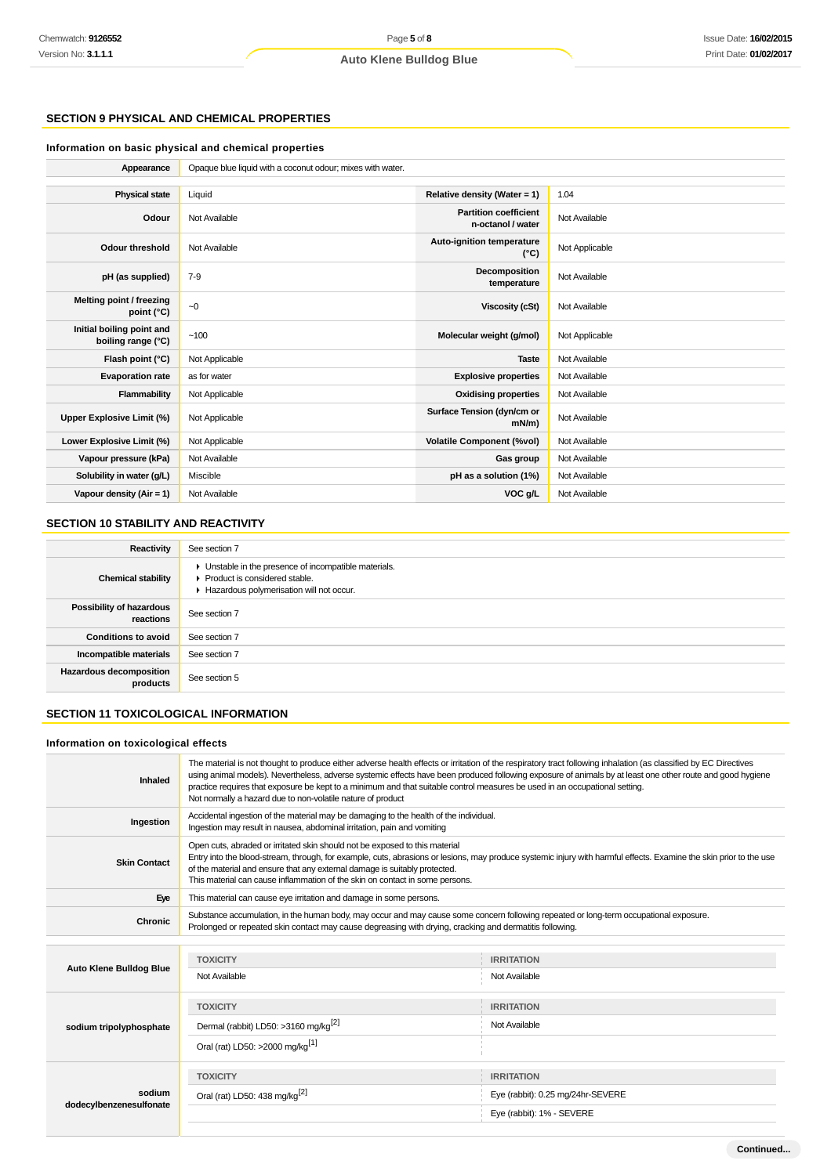# **SECTION 9 PHYSICAL AND CHEMICAL PROPERTIES**

#### **Information on basic physical and chemical properties**

| Appearance                                      | Opaque blue liquid with a coconut odour; mixes with water. |                                                   |                |
|-------------------------------------------------|------------------------------------------------------------|---------------------------------------------------|----------------|
|                                                 |                                                            |                                                   |                |
| <b>Physical state</b>                           | Liquid                                                     | Relative density (Water = 1)                      | 1.04           |
| Odour                                           | Not Available                                              | <b>Partition coefficient</b><br>n-octanol / water | Not Available  |
| Odour threshold                                 | Not Available                                              | Auto-ignition temperature<br>$(^{\circ}C)$        | Not Applicable |
| pH (as supplied)                                | $7 - 9$                                                    | Decomposition<br>temperature                      | Not Available  |
| Melting point / freezing<br>point (°C)          | ~10                                                        | <b>Viscosity (cSt)</b>                            | Not Available  |
| Initial boiling point and<br>boiling range (°C) | ~100                                                       | Molecular weight (g/mol)                          | Not Applicable |
| Flash point (°C)                                | Not Applicable                                             | <b>Taste</b>                                      | Not Available  |
| <b>Evaporation rate</b>                         | as for water                                               | <b>Explosive properties</b>                       | Not Available  |
| Flammability                                    | Not Applicable                                             | <b>Oxidising properties</b>                       | Not Available  |
| <b>Upper Explosive Limit (%)</b>                | Not Applicable                                             | Surface Tension (dyn/cm or<br>$mN/m$ )            | Not Available  |
| Lower Explosive Limit (%)                       | Not Applicable                                             | <b>Volatile Component (%vol)</b>                  | Not Available  |
| Vapour pressure (kPa)                           | Not Available                                              | Gas group                                         | Not Available  |
| Solubility in water (g/L)                       | Miscible                                                   | pH as a solution (1%)                             | Not Available  |
| Vapour density (Air = 1)                        | Not Available                                              | VOC g/L                                           | Not Available  |

## **SECTION 10 STABILITY AND REACTIVITY**

| Reactivity                            | See section 7                                                                                                                        |  |
|---------------------------------------|--------------------------------------------------------------------------------------------------------------------------------------|--|
| <b>Chemical stability</b>             | • Unstable in the presence of incompatible materials.<br>▶ Product is considered stable.<br>Hazardous polymerisation will not occur. |  |
| Possibility of hazardous<br>reactions | See section 7                                                                                                                        |  |
| <b>Conditions to avoid</b>            | See section 7                                                                                                                        |  |
| Incompatible materials                | See section 7                                                                                                                        |  |
| Hazardous decomposition<br>products   | See section 5                                                                                                                        |  |

#### **SECTION 11 TOXICOLOGICAL INFORMATION**

#### **Information on toxicological effects**

| Inhaled                        | The material is not thought to produce either adverse health effects or irritation of the respiratory tract following inhalation (as classified by EC Directives<br>using animal models). Nevertheless, adverse systemic effects have been produced following exposure of animals by at least one other route and good hygiene<br>practice requires that exposure be kept to a minimum and that suitable control measures be used in an occupational setting.<br>Not normally a hazard due to non-volatile nature of product |                                   |  |  |
|--------------------------------|------------------------------------------------------------------------------------------------------------------------------------------------------------------------------------------------------------------------------------------------------------------------------------------------------------------------------------------------------------------------------------------------------------------------------------------------------------------------------------------------------------------------------|-----------------------------------|--|--|
| Ingestion                      | Accidental ingestion of the material may be damaging to the health of the individual.<br>Ingestion may result in nausea, abdominal irritation, pain and vomiting                                                                                                                                                                                                                                                                                                                                                             |                                   |  |  |
| <b>Skin Contact</b>            | Open cuts, abraded or irritated skin should not be exposed to this material<br>Entry into the blood-stream, through, for example, cuts, abrasions or lesions, may produce systemic injury with harmful effects. Examine the skin prior to the use<br>of the material and ensure that any external damage is suitably protected.<br>This material can cause inflammation of the skin on contact in some persons.                                                                                                              |                                   |  |  |
| Eye                            | This material can cause eye irritation and damage in some persons.                                                                                                                                                                                                                                                                                                                                                                                                                                                           |                                   |  |  |
| Chronic                        | Substance accumulation, in the human body, may occur and may cause some concern following repeated or long-term occupational exposure.<br>Prolonged or repeated skin contact may cause degreasing with drying, cracking and dermatitis following.                                                                                                                                                                                                                                                                            |                                   |  |  |
|                                |                                                                                                                                                                                                                                                                                                                                                                                                                                                                                                                              |                                   |  |  |
|                                | <b>TOXICITY</b>                                                                                                                                                                                                                                                                                                                                                                                                                                                                                                              | <b>IRRITATION</b>                 |  |  |
| <b>Auto Klene Bulldog Blue</b> | Not Available                                                                                                                                                                                                                                                                                                                                                                                                                                                                                                                | Not Available                     |  |  |
|                                | <b>TOXICITY</b>                                                                                                                                                                                                                                                                                                                                                                                                                                                                                                              | <b>IRRITATION</b>                 |  |  |
| sodium tripolyphosphate        | Dermal (rabbit) LD50: >3160 mg/kg <sup>[2]</sup>                                                                                                                                                                                                                                                                                                                                                                                                                                                                             | Not Available                     |  |  |
|                                | Oral (rat) LD50: >2000 mg/kg <sup>[1]</sup>                                                                                                                                                                                                                                                                                                                                                                                                                                                                                  |                                   |  |  |
|                                | <b>TOXICITY</b>                                                                                                                                                                                                                                                                                                                                                                                                                                                                                                              | <b>IRRITATION</b>                 |  |  |
| sodium                         | Oral (rat) LD50: 438 mg/kg <sup>[2]</sup>                                                                                                                                                                                                                                                                                                                                                                                                                                                                                    | Eye (rabbit): 0.25 mg/24hr-SEVERE |  |  |
| dodecylbenzenesulfonate        |                                                                                                                                                                                                                                                                                                                                                                                                                                                                                                                              | Eye (rabbit): 1% - SEVERE         |  |  |
|                                |                                                                                                                                                                                                                                                                                                                                                                                                                                                                                                                              |                                   |  |  |

**Continued...**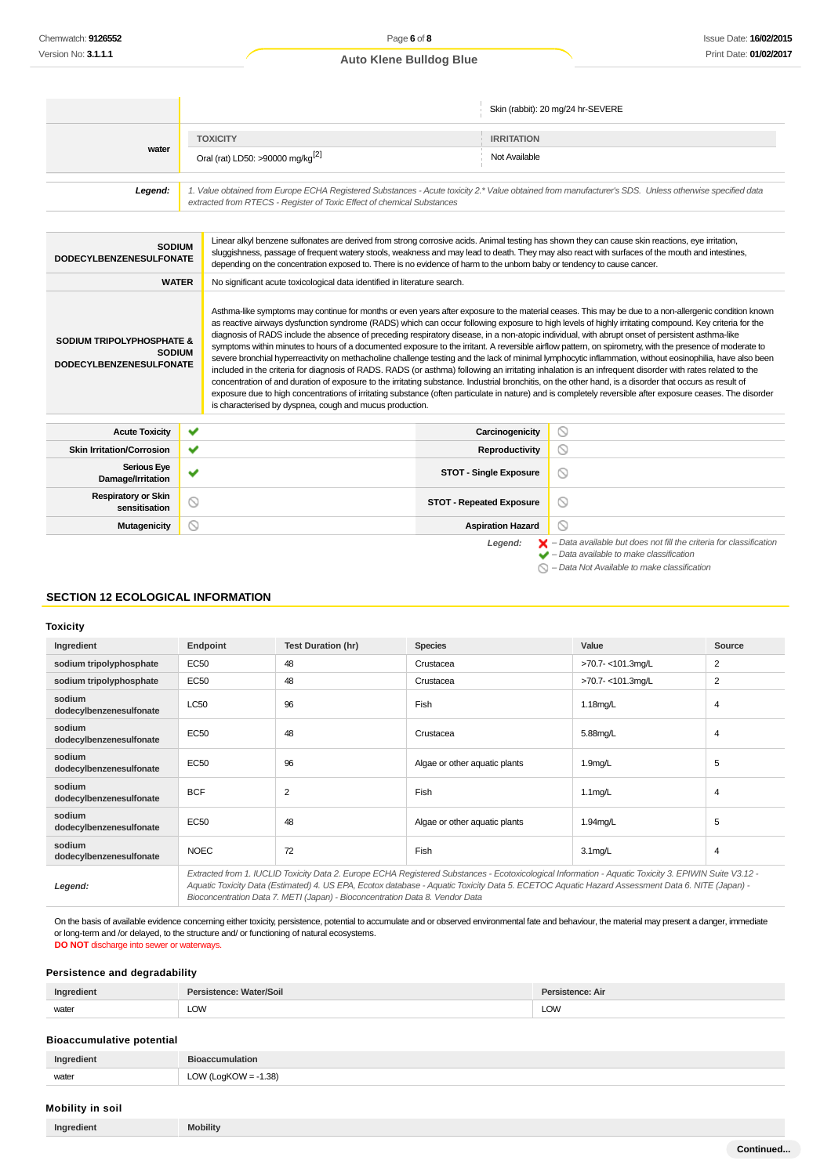|                                                                                                                                                                                                                                                                                                                                                                                                                                                                                                                                                                                                                                                                                                                                                                                                                                                                                                                                                                                                                                                                                                                                                                                                                                                                                                                                                                                                                                       |                 |                                                                                                                         |                                 |                               | Skin (rabbit): 20 mg/24 hr-SEVERE                                                                                                                                                                                                                                                                   |
|---------------------------------------------------------------------------------------------------------------------------------------------------------------------------------------------------------------------------------------------------------------------------------------------------------------------------------------------------------------------------------------------------------------------------------------------------------------------------------------------------------------------------------------------------------------------------------------------------------------------------------------------------------------------------------------------------------------------------------------------------------------------------------------------------------------------------------------------------------------------------------------------------------------------------------------------------------------------------------------------------------------------------------------------------------------------------------------------------------------------------------------------------------------------------------------------------------------------------------------------------------------------------------------------------------------------------------------------------------------------------------------------------------------------------------------|-----------------|-------------------------------------------------------------------------------------------------------------------------|---------------------------------|-------------------------------|-----------------------------------------------------------------------------------------------------------------------------------------------------------------------------------------------------------------------------------------------------------------------------------------------------|
|                                                                                                                                                                                                                                                                                                                                                                                                                                                                                                                                                                                                                                                                                                                                                                                                                                                                                                                                                                                                                                                                                                                                                                                                                                                                                                                                                                                                                                       | <b>TOXICITY</b> |                                                                                                                         |                                 | <b>IRRITATION</b>             |                                                                                                                                                                                                                                                                                                     |
| water                                                                                                                                                                                                                                                                                                                                                                                                                                                                                                                                                                                                                                                                                                                                                                                                                                                                                                                                                                                                                                                                                                                                                                                                                                                                                                                                                                                                                                 |                 | Oral (rat) LD50: >90000 mg/kg <sup>[2]</sup>                                                                            |                                 | Not Available                 |                                                                                                                                                                                                                                                                                                     |
| 1. Value obtained from Europe ECHA Registered Substances - Acute toxicity 2.* Value obtained from manufacturer's SDS. Unless otherwise specified data<br>Legend:<br>extracted from RTECS - Register of Toxic Effect of chemical Substances                                                                                                                                                                                                                                                                                                                                                                                                                                                                                                                                                                                                                                                                                                                                                                                                                                                                                                                                                                                                                                                                                                                                                                                            |                 |                                                                                                                         |                                 |                               |                                                                                                                                                                                                                                                                                                     |
| <b>SODIUM</b><br><b>DODECYLBENZENESULFONATE</b>                                                                                                                                                                                                                                                                                                                                                                                                                                                                                                                                                                                                                                                                                                                                                                                                                                                                                                                                                                                                                                                                                                                                                                                                                                                                                                                                                                                       |                 | depending on the concentration exposed to. There is no evidence of harm to the unborn baby or tendency to cause cancer. |                                 |                               | Linear alkyl benzene sulfonates are derived from strong corrosive acids. Animal testing has shown they can cause skin reactions, eye irritation,<br>sluggishness, passage of frequent watery stools, weakness and may lead to death. They may also react with surfaces of the mouth and intestines, |
| <b>WATER</b>                                                                                                                                                                                                                                                                                                                                                                                                                                                                                                                                                                                                                                                                                                                                                                                                                                                                                                                                                                                                                                                                                                                                                                                                                                                                                                                                                                                                                          |                 | No significant acute toxicological data identified in literature search.                                                |                                 |                               |                                                                                                                                                                                                                                                                                                     |
| Asthma-like symptoms may continue for months or even years after exposure to the material ceases. This may be due to a non-allergenic condition known<br>as reactive airways dysfunction syndrome (RADS) which can occur following exposure to high levels of highly irritating compound. Key criteria for the<br>diagnosis of RADS include the absence of preceding respiratory disease, in a non-atopic individual, with abrupt onset of persistent asthma-like<br><b>SODIUM TRIPOLYPHOSPHATE &amp;</b><br>symptoms within minutes to hours of a documented exposure to the irritant. A reversible airflow pattern, on spirometry, with the presence of moderate to<br><b>SODIUM</b><br>severe bronchial hyperreactivity on methacholine challenge testing and the lack of minimal lymphocytic inflammation, without eosinophilia, have also been<br><b>DODECYLBENZENESULFONATE</b><br>included in the criteria for diagnosis of RADS. RADS (or asthma) following an irritating inhalation is an infrequent disorder with rates related to the<br>concentration of and duration of exposure to the irritating substance. Industrial bronchitis, on the other hand, is a disorder that occurs as result of<br>exposure due to high concentrations of irritating substance (often particulate in nature) and is completely reversible after exposure ceases. The disorder<br>is characterised by dyspnea, cough and mucus production. |                 |                                                                                                                         |                                 |                               |                                                                                                                                                                                                                                                                                                     |
| <b>Acute Toxicity</b>                                                                                                                                                                                                                                                                                                                                                                                                                                                                                                                                                                                                                                                                                                                                                                                                                                                                                                                                                                                                                                                                                                                                                                                                                                                                                                                                                                                                                 | ✔               |                                                                                                                         |                                 | Carcinogenicity               | $\circledcirc$                                                                                                                                                                                                                                                                                      |
| <b>Skin Irritation/Corrosion</b>                                                                                                                                                                                                                                                                                                                                                                                                                                                                                                                                                                                                                                                                                                                                                                                                                                                                                                                                                                                                                                                                                                                                                                                                                                                                                                                                                                                                      | ✓               |                                                                                                                         |                                 | Reproductivity                | $\circ$                                                                                                                                                                                                                                                                                             |
| <b>Serious Eye</b><br>Damage/Irritation                                                                                                                                                                                                                                                                                                                                                                                                                                                                                                                                                                                                                                                                                                                                                                                                                                                                                                                                                                                                                                                                                                                                                                                                                                                                                                                                                                                               | ✔               |                                                                                                                         |                                 | <b>STOT - Single Exposure</b> | $\circ$                                                                                                                                                                                                                                                                                             |
| <b>Respiratory or Skin</b><br>sensitisation                                                                                                                                                                                                                                                                                                                                                                                                                                                                                                                                                                                                                                                                                                                                                                                                                                                                                                                                                                                                                                                                                                                                                                                                                                                                                                                                                                                           | ⊚               |                                                                                                                         | <b>STOT - Repeated Exposure</b> |                               | $\odot$                                                                                                                                                                                                                                                                                             |
| <b>Mutagenicity</b>                                                                                                                                                                                                                                                                                                                                                                                                                                                                                                                                                                                                                                                                                                                                                                                                                                                                                                                                                                                                                                                                                                                                                                                                                                                                                                                                                                                                                   | ര               |                                                                                                                         |                                 | <b>Aspiration Hazard</b>      | 0                                                                                                                                                                                                                                                                                                   |
|                                                                                                                                                                                                                                                                                                                                                                                                                                                                                                                                                                                                                                                                                                                                                                                                                                                                                                                                                                                                                                                                                                                                                                                                                                                                                                                                                                                                                                       |                 |                                                                                                                         |                                 | Legend:                       | $\blacktriangleright$ - Data available but does not fill the criteria for classification<br>$\blacktriangleright$ - Data available to make classification                                                                                                                                           |

- - $\bigcirc$  Data Not Available to make classification

### **SECTION 12 ECOLOGICAL INFORMATION**

#### **Toxicity**

| Ingredient                        | <b>Endpoint</b>                                                                                                                                       | <b>Test Duration (hr)</b> | <b>Species</b>                | Value               | Source |
|-----------------------------------|-------------------------------------------------------------------------------------------------------------------------------------------------------|---------------------------|-------------------------------|---------------------|--------|
| sodium tripolyphosphate           | <b>EC50</b>                                                                                                                                           | 48                        | Crustacea                     | >70.7-<101.3mg/L    | 2      |
| sodium tripolyphosphate           | <b>EC50</b>                                                                                                                                           | 48                        | Crustacea                     | >70.7-<101.3mg/L    | 2      |
| sodium<br>dodecylbenzenesulfonate | <b>LC50</b>                                                                                                                                           | 96                        | Fish                          | 1.18mg/L            | 4      |
| sodium<br>dodecylbenzenesulfonate | EC50                                                                                                                                                  | 48                        | Crustacea                     | 5.88mg/L            | 4      |
| sodium<br>dodecylbenzenesulfonate | EC50                                                                                                                                                  | 96                        | Algae or other aquatic plants | 1.9 <sub>mq/L</sub> | 5      |
| sodium<br>dodecylbenzenesulfonate | <b>BCF</b>                                                                                                                                            | $\overline{2}$            | Fish                          | $1.1$ mg/L          | 4      |
| sodium<br>dodecylbenzenesulfonate | EC50                                                                                                                                                  | 48                        | Algae or other aquatic plants | 1.94mg/L            | 5      |
| sodium<br>dodecylbenzenesulfonate | <b>NOEC</b>                                                                                                                                           | 72                        | Fish                          | $3.1$ mg/L          | 4      |
|                                   | Extracted from 1. IUCLID Toxicity Data 2. Europe ECHA Registered Substances - Ecotoxicological Information - Aquatic Toxicity 3. EPIWIN Suite V3.12 - |                           |                               |                     |        |

**Legend:**

Aquatic Toxicity Data (Estimated) 4. US EPA, Ecotox database - Aquatic Toxicity Data 5. ECETOC Aquatic Hazard Assessment Data 6. NITE (Japan) - Bioconcentration Data 7. METI (Japan) - Bioconcentration Data 8. Vendor Data

On the basis of available evidence concerning either toxicity, persistence, potential to accumulate and or observed environmental fate and behaviour, the material may present a danger, immediate or long-term and /or delayed, to the structure and/ or functioning of natural ecosystems. **DO NOT** discharge into sewer or waterways.

#### **Persistence and degradability**

|                                          | ווסכ | : Air          |
|------------------------------------------|------|----------------|
| the contract of the contract of<br>water | LOW  | LOW<br>$- - -$ |

#### **Bioaccumulative potential**

| Indredient | -                  |
|------------|--------------------|
| ------     | RIO3               |
| water      | (.38)<br>$\bigcap$ |

## **Mobility in soil**

| Ingredient | <b>Mobility</b> |
|------------|-----------------|
|            |                 |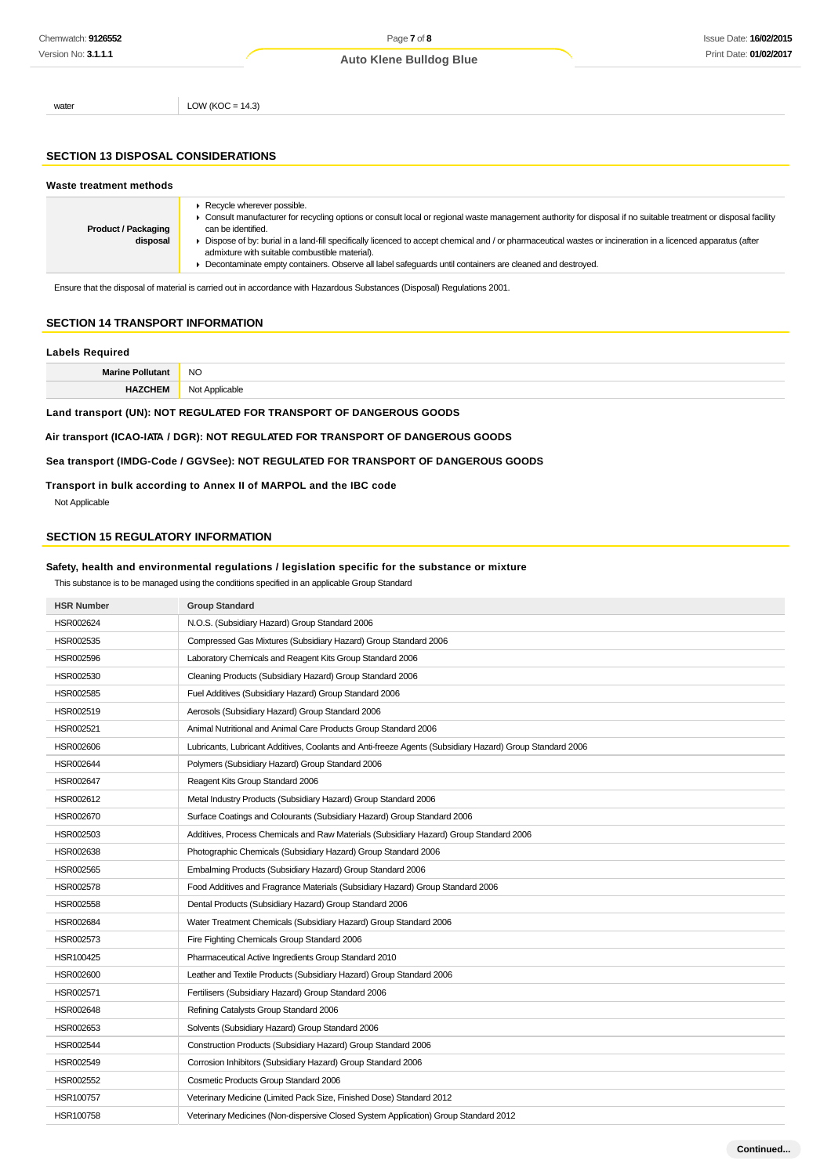water  $LOW (KOC = 14.3)$ 

#### **SECTION 13 DISPOSAL CONSIDERATIONS**

| Waste treatment methods                |                                                                                                                                                                                                                                                                                                                                                                                                                                                                                                                                                                          |
|----------------------------------------|--------------------------------------------------------------------------------------------------------------------------------------------------------------------------------------------------------------------------------------------------------------------------------------------------------------------------------------------------------------------------------------------------------------------------------------------------------------------------------------------------------------------------------------------------------------------------|
| <b>Product / Packaging</b><br>disposal | $\blacktriangleright$ Recycle wherever possible.<br>• Consult manufacturer for recycling options or consult local or regional waste management authority for disposal if no suitable treatment or disposal facility<br>can be identified.<br>▶ Dispose of by: burial in a land-fill specifically licenced to accept chemical and / or pharmaceutical wastes or incineration in a licenced apparatus (after<br>admixture with suitable combustible material).<br>Decontaminate empty containers. Observe all label safequards until containers are cleaned and destroyed. |

Ensure that the disposal of material is carried out in accordance with Hazardous Substances (Disposal) Regulations 2001.

## **SECTION 14 TRANSPORT INFORMATION**

#### **Labels Required**

| Moris | <b>NC</b><br>$\sim$ |
|-------|---------------------|
|       | $.1 \wedge$<br>יומה |

**Land transport (UN): NOT REGULATED FOR TRANSPORT OF DANGEROUS GOODS**

## **Air transport (ICAO-IATA / DGR): NOT REGULATED FOR TRANSPORT OF DANGEROUS GOODS**

### **Sea transport (IMDG-Code / GGVSee): NOT REGULATED FOR TRANSPORT OF DANGEROUS GOODS**

#### **Transport in bulk according to Annex II of MARPOL and the IBC code**

Not Applicable

#### **SECTION 15 REGULATORY INFORMATION**

#### **Safety, health and environmental regulations / legislation specific for the substance or mixture**

| This substance is to be managed using the conditions specified in an applicable Group Standard |  |
|------------------------------------------------------------------------------------------------|--|
|------------------------------------------------------------------------------------------------|--|

| <b>HSR Number</b> | <b>Group Standard</b>                                                                                    |
|-------------------|----------------------------------------------------------------------------------------------------------|
| HSR002624         | N.O.S. (Subsidiary Hazard) Group Standard 2006                                                           |
| HSR002535         | Compressed Gas Mixtures (Subsidiary Hazard) Group Standard 2006                                          |
| HSR002596         | Laboratory Chemicals and Reagent Kits Group Standard 2006                                                |
| HSR002530         | Cleaning Products (Subsidiary Hazard) Group Standard 2006                                                |
| HSR002585         | Fuel Additives (Subsidiary Hazard) Group Standard 2006                                                   |
| HSR002519         | Aerosols (Subsidiary Hazard) Group Standard 2006                                                         |
| HSR002521         | Animal Nutritional and Animal Care Products Group Standard 2006                                          |
| HSR002606         | Lubricants, Lubricant Additives, Coolants and Anti-freeze Agents (Subsidiary Hazard) Group Standard 2006 |
| HSR002644         | Polymers (Subsidiary Hazard) Group Standard 2006                                                         |
| HSR002647         | Reagent Kits Group Standard 2006                                                                         |
| HSR002612         | Metal Industry Products (Subsidiary Hazard) Group Standard 2006                                          |
| HSR002670         | Surface Coatings and Colourants (Subsidiary Hazard) Group Standard 2006                                  |
| HSR002503         | Additives, Process Chemicals and Raw Materials (Subsidiary Hazard) Group Standard 2006                   |
| HSR002638         | Photographic Chemicals (Subsidiary Hazard) Group Standard 2006                                           |
| HSR002565         | Embalming Products (Subsidiary Hazard) Group Standard 2006                                               |
| HSR002578         | Food Additives and Fragrance Materials (Subsidiary Hazard) Group Standard 2006                           |
| HSR002558         | Dental Products (Subsidiary Hazard) Group Standard 2006                                                  |
| HSR002684         | Water Treatment Chemicals (Subsidiary Hazard) Group Standard 2006                                        |
| HSR002573         | Fire Fighting Chemicals Group Standard 2006                                                              |
| HSR100425         | Pharmaceutical Active Ingredients Group Standard 2010                                                    |
| HSR002600         | Leather and Textile Products (Subsidiary Hazard) Group Standard 2006                                     |
| HSR002571         | Fertilisers (Subsidiary Hazard) Group Standard 2006                                                      |
| HSR002648         | Refining Catalysts Group Standard 2006                                                                   |
| HSR002653         | Solvents (Subsidiary Hazard) Group Standard 2006                                                         |
| HSR002544         | Construction Products (Subsidiary Hazard) Group Standard 2006                                            |
| HSR002549         | Corrosion Inhibitors (Subsidiary Hazard) Group Standard 2006                                             |
| HSR002552         | Cosmetic Products Group Standard 2006                                                                    |
| HSR100757         | Veterinary Medicine (Limited Pack Size, Finished Dose) Standard 2012                                     |
| HSR100758         | Veterinary Medicines (Non-dispersive Closed System Application) Group Standard 2012                      |